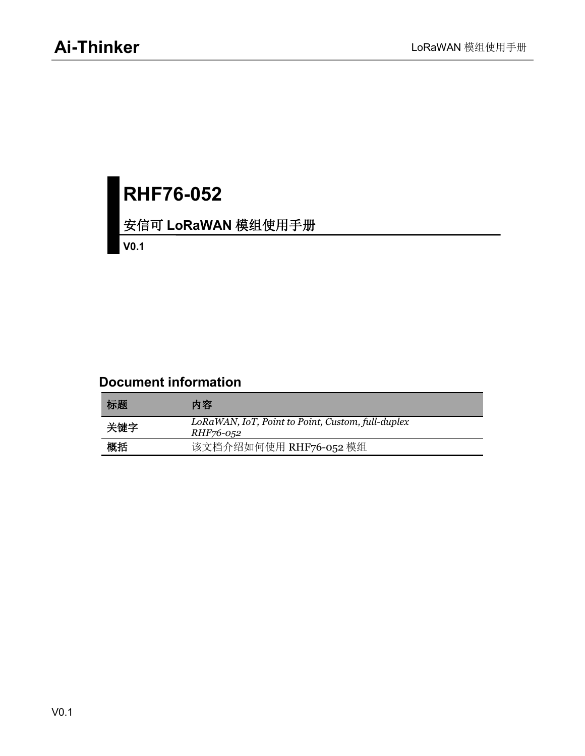# **RHF76-052**

#### 安信可 **LoRaWAN** 模组使用手册

**V0.1**

#### **Document information**

| 标题  | 内容                                                                    |
|-----|-----------------------------------------------------------------------|
| 关键字 | LoRaWAN, IoT, Point to Point, Custom, full-duplex<br><i>RHF76-052</i> |
| 概括  | 该文档介绍如何使用 RHF76-052 模组                                                |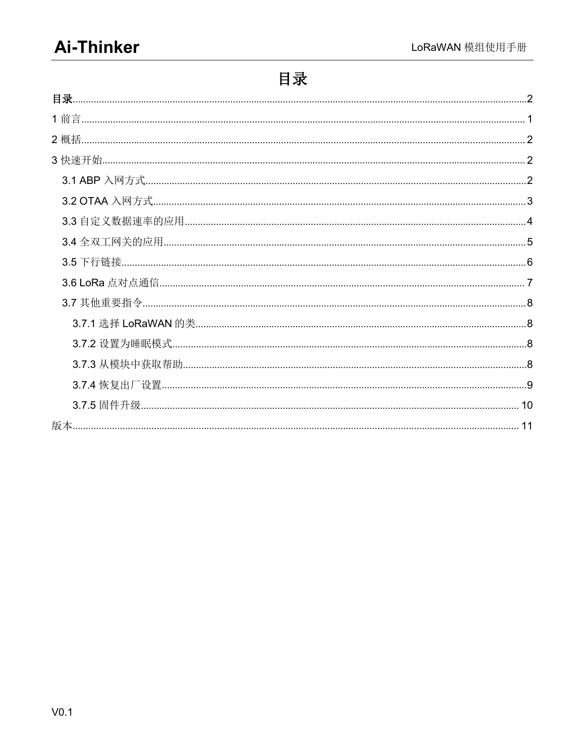# <span id="page-1-0"></span>目录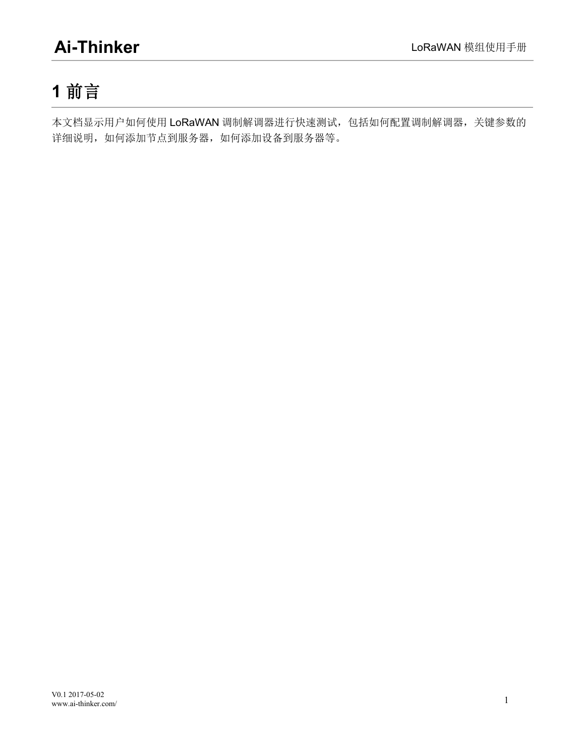# <span id="page-3-0"></span>**1** 前言

本文档显示用户如何使用 LoRaWAN 调制解调器进行快速测试,包括如何配置调制解调器,关键参数的 详细说明,如何添加节点到服务器,如何添加设备到服务器等。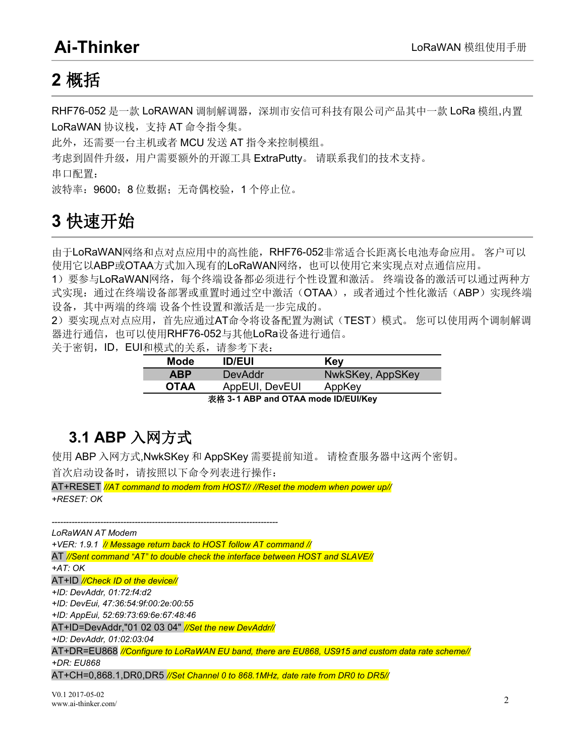### <span id="page-4-1"></span><span id="page-4-0"></span>**2** 概括

RHF76-052 是一款 LoRAWAN 调制解调器,深圳市安信可科技有限公司产品其中一款 LoRa 模组,内置 LoRaWAN 协议栈,支持 AT 命令指令集。

此外,还需要一台主机或者 MCU 发送 AT 指令来控制模组。

考虑到固件升级,用户需要额外的开源工具 ExtraPutty。 请联系我们的技术支持。

串口配置:

波特率: 9600; 8 位数据; 无奇偶校验, 1 个停止位。

# **3** 快速开始

由于LoRaWAN网络和点对点应用中的高性能,RHF76-052非常适合长距离长电池寿命应用。 客户可以 使用它以ABP或OTAA方式加入现有的LoRaWAN网络,也可以使用它来实现点对点通信应用。

1)要参与LoRaWAN网络,每个终端设备都必须进行个性设置和激活。 终端设备的激活可以通过两种方 式实现: 通过在终端设备部署或重置时通过空中激活(OTAA),或者通过个性化激活(ABP)实现终端 设备,其中两端的终端 设备个性设置和激活是一步完成的。

2)要实现点对点应用,首先应通过AT命令将设备配置为测试(TEST)模式。 您可以使用两个调制解调 器进行通信, 也可以使用RHF76-052与其他LoRa设备进行通信。

关于密钥, ID, EUI和模式的关系, 请参考下表:

| Mode                                              | <b>ID/EUI</b>  | Key              |
|---------------------------------------------------|----------------|------------------|
| <b>ABP</b>                                        | DevAddr        | NwkSKey, AppSKey |
| <b>OTAA</b>                                       | AppEUI, DevEUI | AppKey           |
| $\pm \mathcal{R}$ 2 1 ARD and OTAA mode ID/EHIKov |                |                  |

表格 **3- 1 ABP and OTAA mode ID/EUI/Key**

### **3.1 ABP** 入网方式

使用 ABP 入网方式,NwkSKey 和 AppSKey 需要提前知道。 请检查服务器中这两个密钥。 首次启动设备时,请按照以下命令列表进行操作:

AT+RESET *//AT command to modem from HOST// //Reset the modem when power up// +RESET: OK*

*------------------------------------------------------------------------------- LoRaWAN AT Modem +VER: 1.9.1 // Message return back to HOST follow AT command //* AT *//Sent command "AT" to double check the interface between HOST and SLAVE// +AT: OK* AT+ID *//Check ID of the device// +ID: DevAddr, 01:72:f4:d2 +ID: DevEui, 47:36:54:9f:00:2e:00:55 +ID: AppEui, 52:69:73:69:6e:67:48:46* AT+ID=DevAddr,"01 02 03 04" *//Set the new DevAddr// +ID: DevAddr, 01:02:03:04* AT+DR=EU868 *//Configure to LoRaWAN EU band, there are EU868, US915 and custom data rate scheme// +DR: EU868* AT+CH=0,868.1,DR0,DR5 *//Set Channel 0 to 868.1MHz, date rate from DR0 to DR5//*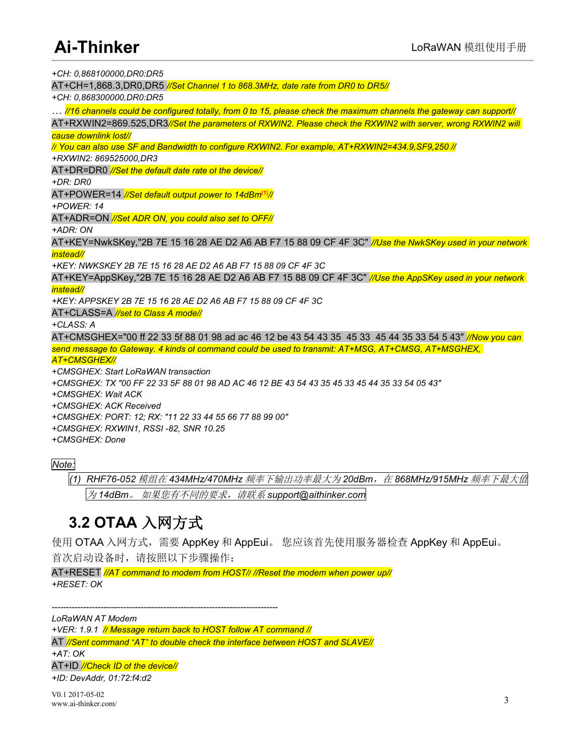<span id="page-5-0"></span>*+CH: 0,868100000,DR0:DR5*

AT+CH=1,868.3,DR0,DR5 *//Set Channel 1 to 868.3MHz, date rate from DR0 to DR5//*

*+CH: 0,868300000,DR0:DR5*

... //16 channels could be configured totally, from 0 to 15, please check the maximum channels the gateway can support//

AT+RXWIN2=869.525,DR3*//Set the parameters of RXWIN2. Please check the RXWIN2 with server, wrong RXWIN2 will cause downlink lost//*

*// You can also use SF and Bandwidth to configure RXWIN2. For example, AT+RXWIN2=434.9,SF9,250 //*

*+RXWIN2: 869525000,DR3*

AT+DR=DR0 *//Set the default date rate of the device//*

*+DR: DR0*

AT+POWER=14 *//Set default output power to 14dBm***(1)***//*

*+POWER: 14*

AT+ADR=ON *//Set ADR ON, you could also set to OFF//*

*+ADR: ON*

AT+KEY=NwkSKey,"2B 7E 15 16 28 AE D2 A6 AB F7 15 88 09 CF 4F 3C" *//Use the NwkSKey used in your network instead//*

*+KEY: NWKSKEY 2B 7E 15 16 28 AE D2 A6 AB F7 15 88 09 CF 4F 3C*

AT+KEY=AppSKey,"2B 7E 15 16 28 AE D2 A6 AB F7 15 88 09 CF 4F 3C" *//Use the AppSKey used in your network instead//*

*+KEY: APPSKEY 2B 7E 15 16 28 AE D2 A6 AB F7 15 88 09 CF 4F 3C*

AT+CLASS=A *//set to Class A mode//*

*+CLASS: A*

AT+CMSGHEX="00 ff 22 33 5f 88 01 98 ad ac 46 12 be 43 54 43 35 45 33 45 44 35 33 54 5 43" *//Now you can send message to Gateway. 4 kinds of command could be used to transmit: AT+MSG, AT+CMSG, AT+MSGHEX,*

*AT+CMSGHEX//*

*+CMSGHEX: Start LoRaWAN transaction*

+CMSGHEX: TX "00 FF 22 33 5F 88 01 98 AD AC 46 12 BE 43 54 43 35 45 33 45 44 35 33 54 05 43"

*+CMSGHEX: Wait ACK*

*+CMSGHEX: ACK Received*

*+CMSGHEX: PORT: 12; RX: "11 22 33 44 55 66 77 88 99 00"*

*+CMSGHEX: RXWIN1, RSSI -82, SNR 10.25*

*+CMSGHEX: Done*

#### *Note:*

*(1) RHF76-052* 模组在 *434MHz/470MHz* 频率下输出功率最大为 *20dBm*,在 *868MHz/915MHz* 频率下最大值 为 *14dBm*。 如果您有不同的要求,请联系 *support@aithinker.com*

### **3.2 OTAA** 入网方式

使用 OTAA 入网方式,需要 AppKey 和 AppEui。 您应该首先使用服务器检查 AppKey 和 AppEui。 首次启动设备时,请按照以下步骤操作:

AT+RESET *//AT command to modem from HOST// //Reset the modem when power up// +RESET: OK*

*------------------------------------------------------------------------------- LoRaWAN AT Modem*

*+VER: 1.9.1 // Message return back to HOST follow AT command //*

AT *//Sent command "AT" to double check the interface between HOST and SLAVE// +AT: OK*

AT+ID *//Check ID of the device// +ID: DevAddr, 01:72:f4:d2*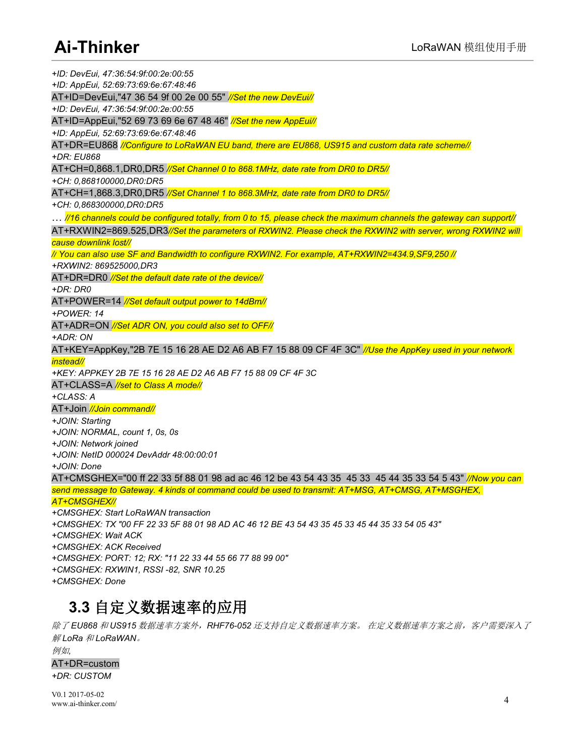<span id="page-6-0"></span>*+ID: DevEui, 47:36:54:9f:00:2e:00:55 +ID: AppEui, 52:69:73:69:6e:67:48:46* AT+ID=DevEui,"47 36 54 9f 00 2e 00 55" *//Set the new DevEui// +ID: DevEui, 47:36:54:9f:00:2e:00:55* AT+ID=AppEui,"52 69 73 69 6e 67 48 46" *//Set the new AppEui// +ID: AppEui, 52:69:73:69:6e:67:48:46* AT+DR=EU868 *//Configure to LoRaWAN EU band, there are EU868, US915 and custom data rate scheme// +DR: EU868* AT+CH=0,868.1,DR0,DR5 *//Set Channel 0 to 868.1MHz, date rate from DR0 to DR5// +CH: 0,868100000,DR0:DR5* AT+CH=1,868.3,DR0,DR5 *//Set Channel 1 to 868.3MHz, date rate from DR0 to DR5// +CH: 0,868300000,DR0:DR5* ... //16 channels could be configured totally, from 0 to 15, please check the maximum channels the gateway can support// AT+RXWIN2=869.525,DR3*//Set the parameters of RXWIN2. Please check the RXWIN2 with server, wrong RXWIN2 will cause downlink lost// // You can also use SF and Bandwidth to configure RXWIN2. For example, AT+RXWIN2=434.9,SF9,250 // +RXWIN2: 869525000,DR3* AT+DR=DR0 *//Set the default date rate of the device// +DR: DR0* AT+POWER=14 *//Set default output power to 14dBm// +POWER: 14* AT+ADR=ON *//Set ADR ON, you could also set to OFF// +ADR: ON* AT+KEY=AppKey,"2B 7E 15 16 28 AE D2 A6 AB F7 15 88 09 CF 4F 3C" *//Use the AppKey used in your network instead// +KEY: APPKEY 2B 7E 15 16 28 AE D2 A6 AB F7 15 88 09 CF 4F 3C* AT+CLASS=A *//set to Class A mode// +CLASS: A* AT+Join *//Join command//+JOIN: Starting +JOIN: NORMAL, count 1, 0s, 0s +JOIN: Network joined +JOIN: NetID 000024 DevAddr48:00:00:01 +JOIN: Done* AT+CMSGHEX="00 ff 22 33 5f 88 01 98 ad ac 46 12 be 43 54 43 35 45 33 45 44 35 33 54 5 43" *//Now you can send message to Gateway. 4 kinds of command could be used to transmit: AT+MSG, AT+CMSG, AT+MSGHEX, AT+CMSGHEX// +CMSGHEX: Start LoRaWAN transaction* +CMSGHEX: TX "00 FF 22 33 5F 88 01 98 AD AC 46 12 BE 43 54 43 35 45 33 45 44 35 33 54 05 43" *+CMSGHEX: Wait ACK +CMSGHEX: ACK Received +CMSGHEX: PORT: 12; RX: "11 22 33 44 55 66 77 88 99 00" +CMSGHEX: RXWIN1, RSSI -82, SNR 10.25 +CMSGHEX: Done*

### **3.3** 自定义数据速率的应用

除了 *EU868* 和 *US915* 数据速率方案外,*RHF76-052* 还支持自定义数据速率方案。 在定义数据速率方案之前,客户需要深入了 解 *LoRa* 和 *LoRaWAN*。

例如*,* AT+DR=custom *+DR: CUSTOM*

V0.1 2017-05-02 www.ai-thinker.com/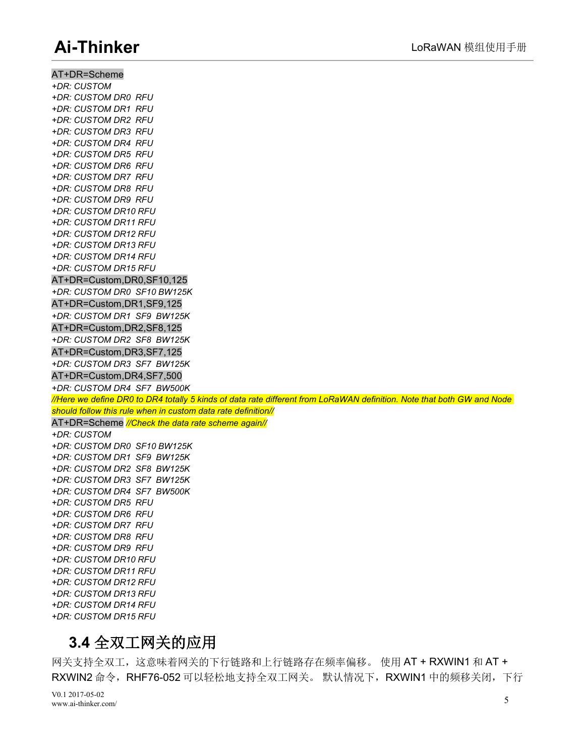<span id="page-7-0"></span>AT+DR=Scheme

*+DR: CUSTOM +DR: CUSTOM DR0 RFU +DR: CUSTOM DR1 RFU +DR: CUSTOM DR2 RFU +DR: CUSTOM DR3 RFU +DR: CUSTOM DR4 RFU +DR: CUSTOM DR5 RFU +DR: CUSTOM DR6 RFU +DR: CUSTOM DR7 RFU +DR: CUSTOM DR8 RFU +DR: CUSTOM DR9 RFU +DR: CUSTOM DR10 RFU +DR: CUSTOM DR11 RFU +DR: CUSTOM DR12 RFU +DR: CUSTOM DR13 RFU +DR: CUSTOM DR14 RFU +DR: CUSTOM DR15 RFU* AT+DR=Custom,DR0,SF10,125 *+DR: CUSTOM DR0 SF10 BW125K* AT+DR=Custom,DR1,SF9,125 *+DR: CUSTOM DR1 SF9 BW125K* AT+DR=Custom,DR2,SF8,125 *+DR: CUSTOM DR2 SF8 BW125K* AT+DR=Custom,DR3,SF7,125 *+DR: CUSTOM DR3 SF7 BW125K* AT+DR=Custom,DR4,SF7,500 *+DR: CUSTOM DR4 SF7 BW500K* //Here we define DR0 to DR4 totally 5 kinds of data rate different from LoRaWAN definition. Note that both GW and Node *should follow this rule when in custom data rate definition//* AT+DR=Scheme *//Check the data rate scheme again// +DR: CUSTOM +DR: CUSTOM DR0 SF10 BW125K +DR: CUSTOM DR1 SF9 BW125K +DR: CUSTOM DR2 SF8 BW125K +DR: CUSTOM DR3 SF7 BW125K +DR: CUSTOM DR4 SF7 BW500K +DR: CUSTOM DR5 RFU +DR: CUSTOM DR6 RFU +DR: CUSTOM DR7 RFU +DR: CUSTOM DR8 RFU +DR: CUSTOM DR9 RFU +DR: CUSTOM DR10 RFU +DR: CUSTOM DR11 RFU +DR: CUSTOM DR12 RFU +DR: CUSTOM DR13 RFU +DR: CUSTOM DR14 RFU +DR: CUSTOM DR15 RFU*

#### **3.4** 全双工网关的应用

网关支持全双工,这意味着网关的下行链路和上行链路存在频率偏移。 使用 AT + RXWIN1 和 AT + RXWIN2 命令, RHF76-052 可以轻松地支持全双工网关。 默认情况下, RXWIN1 中的频移关闭, 下行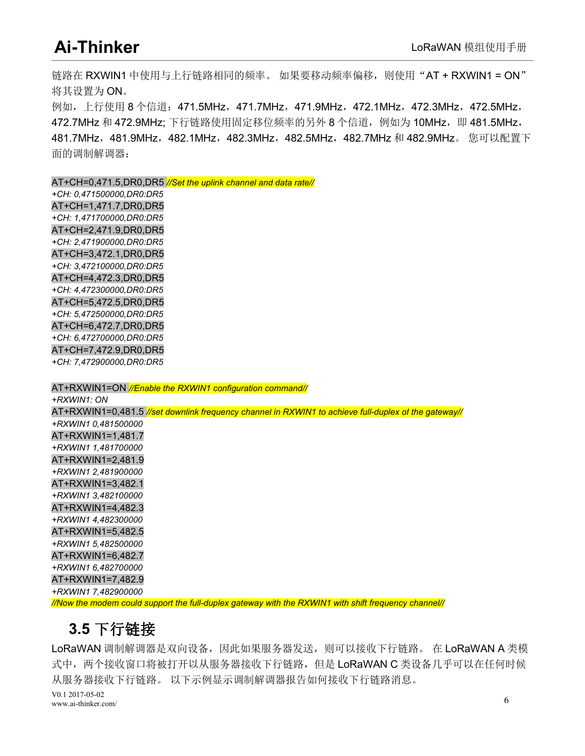<span id="page-8-0"></span>链路在 RXWIN1 中使用与上行链路相同的频率。 如果要移动频率偏移,则使用"AT + RXWIN1 = ON" 将其设置为 ON。

例如,上行使用 8 个信道: 471.5MHz, 471.7MHz, 471.9MHz, 472.1MHz, 472.3MHz, 472.5MHz, 472.7MHz 和 472.9MHz; 下行链路使用固定移位频率的另外 8 个信道, 例如为 10MHz, 即 481.5MHz, 481.7MHz,481.9MHz,482.1MHz,482.3MHz,482.5MHz,482.7MHz 和 482.9MHz。 您可以配置下 面的调制解调器:

AT+CH=0,471.5,DR0,DR5 *//Set the uplink channel and data rate//*

*+CH: 0,471500000,DR0:DR5* AT+CH=1,471.7,DR0,DR5 *+CH: 1,471700000,DR0:DR5* AT+CH=2,471.9,DR0,DR5 *+CH: 2,471900000,DR0:DR5* AT+CH=3,472.1,DR0,DR5 *+CH: 3,472100000,DR0:DR5* AT+CH=4,472.3,DR0,DR5 *+CH: 4,472300000,DR0:DR5* AT+CH=5,472.5,DR0,DR5 *+CH: 5,472500000,DR0:DR5* AT+CH=6,472.7,DR0,DR5 *+CH: 6,472700000,DR0:DR5* AT+CH=7,472.9,DR0,DR5 *+CH: 7,472900000,DR0:DR5*

AT+RXWIN1=ON *//Enable the RXWIN1 configuration command// +RXWIN1: ON* AT+RXWIN1=0,481.5 *//set downlink frequency channel in RXWIN1 to achieve full-duplex of the gateway// +RXWIN1 0,481500000* AT+RXWIN1=1,481.7 *+RXWIN1 1,481700000* AT+RXWIN1=2,481.9 *+RXWIN1 2,481900000* AT+RXWIN1=3,482.1 *+RXWIN1 3,482100000* AT+RXWIN1=4,482.3 *+RXWIN1 4,482300000* AT+RXWIN1=5,482.5 *+RXWIN1 5,482500000* AT+RXWIN1=6,482.7 *+RXWIN1 6,482700000* AT+RXWIN1=7,482.9 *+RXWIN1 7,482900000*

*//Now the modem could support the full-duplex gateway with the RXWIN1 with shift frequency channel//*

#### **3.5** 下行链接

V0.1 2017-05-02 www.ai-thinker.com/ 6 LoRaWAN 调制解调器是双向设备,因此如果服务器发送,则可以接收下行链路。 在 LoRaWAN A 类模 式中,两个接收窗口将被打开以从服务器接收下行链路,但是 LoRaWAN C 类设备几乎可以在任何时候 从服务器接收下行链路。 以下示例显示调制解调器报告如何接收下行链路消息。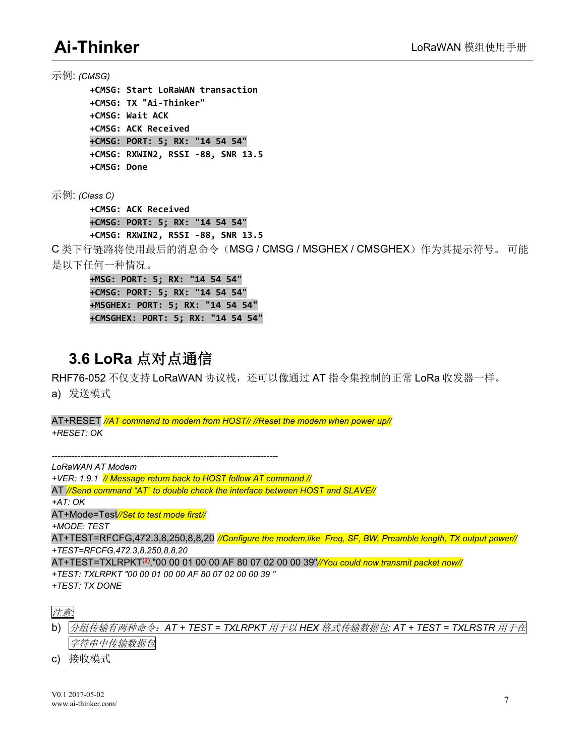<span id="page-9-0"></span>示例: *(CMSG)* **+CMSG: Start LoRaWAN transaction +CMSG: TX "Ai-Thinker" +CMSG: Wait ACK +CMSG: ACK Received +CMSG: PORT: 5; RX: "14 54 54" +CMSG: RXWIN2, RSSI -88, SNR 13.5 +CMSG: Done**

示例: *(Class C)*

**+CMSG: ACK Received +CMSG: PORT: 5; RX: "14 54 54" +CMSG: RXWIN2, RSSI -88, SNR 13.5**

C 类下行链路将使用最后的消息命令(MSG / CMSG / MSGHEX /CMSGHEX)作为其提示符号。 可能 是以下任何一种情况。

**+MSG: PORT: 5; RX: "14 54 54" +CMSG: PORT: 5; RX: "14 54 54" +MSGHEX: PORT: 5; RX: "14 54 54" +CMSGHEX: PORT: 5; RX: "14 54 54"**

#### **3.6 LoRa** 点对点通信

RHF76-052 不仅支持 LoRaWAN 协议栈,还可以像通过 AT 指令集控制的正常 LoRa 收发器一样。

a) 发送模式

AT+RESET *//AT command to modem from HOST// //Reset the modem when power up// +RESET: OK*

*------------------------------------------------------------------------------- LoRaWAN AT Modem +VER: 1.9.1 // Message return back to HOST follow AT command //* AT *//Send command "AT" to double check the interface between HOST and SLAVE// +AT: OK* AT+Mode=Test*//Set to test mode first// +MODE: TEST* AT+TEST=RFCFG,472.3,8,250,8,8,20 *//Configure the modem,like Freq, SF, BW, Preamble length, TX output power// +TEST=RFCFG,472.3,8,250,8,8,20* AT+TEST=TXLRPKT (**2**),"00 00 01 00 00 AF 80 07 02 00 00 39"*//You could now transmit packet now// +TEST: TXLRPKT "00 00 01 00 00 AF 80 07 02 00 00 39 " +TEST: TX DONE*

b) 分组传输有两种命令:*AT + TEST = TXLRPKT* 用于以 *HEX* 格式传输数据包*; AT + TEST = TXLRSTR* 用于在 字符串中传输数据包

c) 接收模式

注意*:*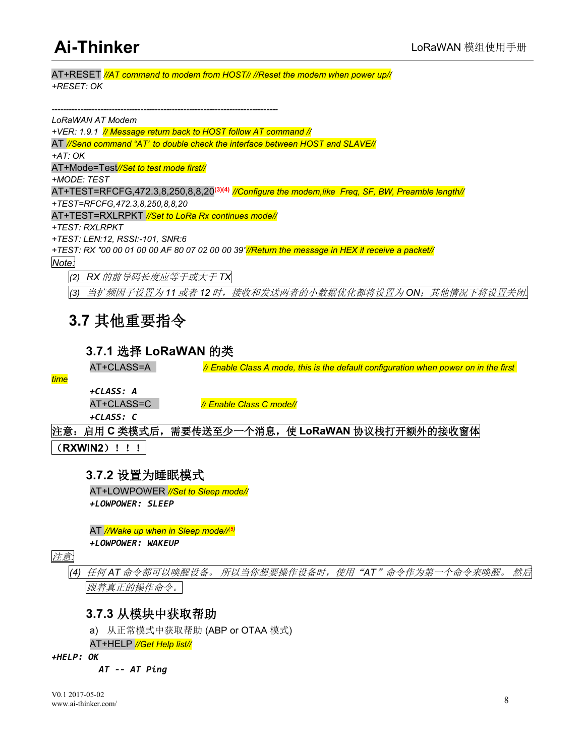<span id="page-10-1"></span><span id="page-10-0"></span>AT+RESET *//AT command to modem from HOST// //Reset the modem when power up// +RESET: OK*

*-------------------------------------------------------------------------------*

*LoRaWAN AT Modem +VER: 1.9.1 // Message return back to HOST follow AT command //* AT *//Send command "AT" to double check the interface between HOST and SLAVE// +AT: OK* AT+Mode=Test*//Set to test mode first// +MODE: TEST* AT+TEST=RFCFG,472.3,8,250,8,8,20 **(3)(4)** *//Configure the modem,like Freq, SF, BW, Preamble length// +TEST=RFCFG,472.3,8,250,8,8,20* AT+TEST=RXLRPKT *//Set to LoRa Rx continues mode// +TEST: RXLRPKT +TEST: LEN:12, RSSI:-101, SNR:6* +TEST: RX "00 00 01 00 00 AF 80 07 02 00 00 39"//Return the message in HEX if receive a packet// *Note:*

*(2) RX* 的前导码长度应等于或大于 *TX*

*(3)* 当扩频因子设置为 *11* 或者 *12* 时,接收和发送两者的小数据优化都将设置为 *ON*;其他情况下将设置关闭*.*

#### **3.7** 其他重要指令

#### **3.7.1** 选择 **LoRaWAN** 的类

AT+CLASS=A *// Enable Class A mode, this is the default configuration when power on in the first*

*time*

*+CLASS: A*

AT+CLASS=C *// Enable Class C mode//*

*+CLASS: C*

#### 注意:启用 **C** 类模式后,需要传送至少一个消息,使 **LoRaWAN** 协议栈打开额外的接收窗体

(**RXWIN2**)!!!

#### **3.7.2** 设置为睡眠模式

AT+LOWPOWER *//Set to Sleep mode// +LOWPOWER: SLEEP*

AT *//Wake up when in Sleep mode// (5)*

*+LOWPOWER: WAKEUP*

注意*:*

*(4)* 任何 *AT* 命令都可以唤醒设备。 所以当你想要操作设备时,使用"*AT*"命令作为第一个命令来唤醒。 然后 跟着真正的操作命令。

#### **3.7.3** 从模块中获取帮助

a) 从正常模式中获取帮助 (ABP or OTAA 模式)

AT+HELP *//Get Help list//*

*+HELP: OK*

*AT -- AT Ping*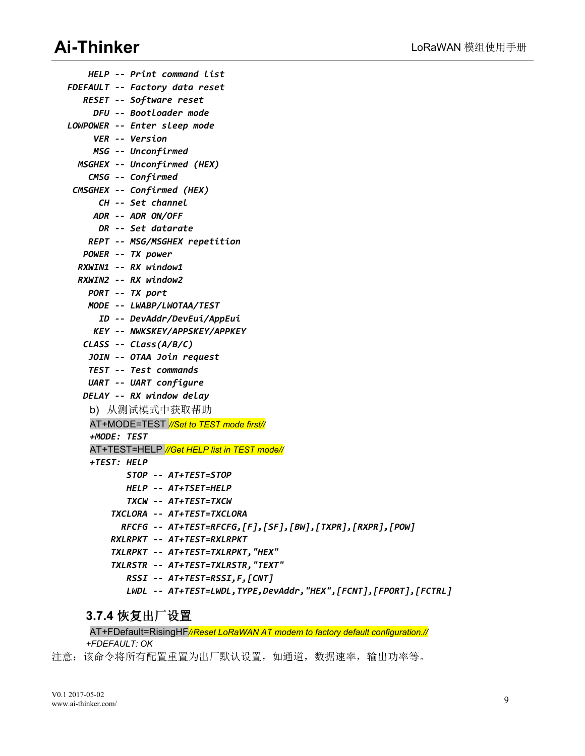<span id="page-11-0"></span>*HELP -- Print command list FDEFAULT -- Factory data reset RESET -- Software reset DFU -- Bootloader mode LOWPOWER -- Enter sleep mode VER -- Version MSG -- Unconfirmed MSGHEX -- Unconfirmed (HEX) CMSG -- Confirmed CMSGHEX -- Confirmed (HEX) CH -- Set channel ADR -- ADR ON/OFF DR -- Set datarate REPT -- MSG/MSGHEX repetition POWER -- TX power RXWIN1 -- RX window1 RXWIN2 -- RX window2 PORT -- TX port MODE -- LWABP/LWOTAA/TEST ID -- DevAddr/DevEui/AppEui KEY -- NWKSKEY/APPSKEY/APPKEY CLASS -- Class(A/B/C) JOIN -- OTAA Join request TEST -- Test commands UART -- UART configure DELAY -- RX window delay* b) 从测试模式中获取帮助 AT+MODE=TEST *//Set to TEST mode first// +MODE: TEST* AT+TEST=HELP *//Get HELP list in TEST mode// +TEST: HELP STOP -- AT+TEST=STOP HELP -- AT+TSET=HELP TXCW -- AT+TEST=TXCW TXCLORA -- AT+TEST=TXCLORA RFCFG -- AT+TEST=RFCFG,[F],[SF],[BW],[TXPR],[RXPR],[POW] RXLRPKT -- AT+TEST=RXLRPKT TXLRPKT -- AT+TEST=TXLRPKT,"HEX" TXLRSTR -- AT+TEST=TXLRSTR,"TEXT" RSSI -- AT+TEST=RSSI,F,[CNT] LWDL -- AT+TEST=LWDL,TYPE,DevAddr,"HEX",[FCNT],[FPORT],[FCTRL]*

#### **3.7.4** 恢复出厂设置

AT+FDefault=RisingHF*//Reset LoRaWAN AT modem to factory default configuration.// +FDEFAULT: OK*

注意:该命令将所有配置重置为出厂默认设置,如通道, 数据速率, 输出功率等。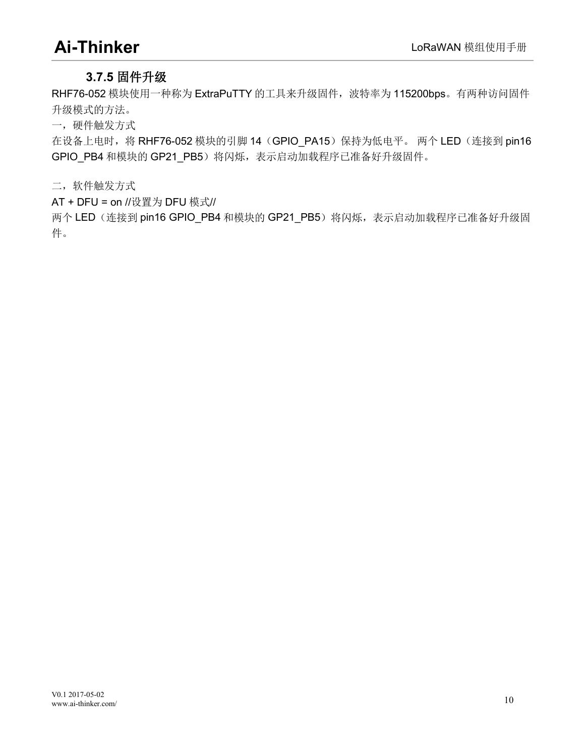#### <span id="page-12-0"></span>**3.7.5** 固件升级

RHF76-052 模块使用一种称为 ExtraPuTTY 的工具来升级固件, 波特率为 115200bps。有两种访问固件 升级模式的方法。

一,硬件触发方式

在设备上电时,将 RHF76-052 模块的引脚 14 (GPIO\_PA15) 保持为低电平。 两个 LED (连接到 pin16 GPIO\_PB4 和模块的 GP21\_PB5)将闪烁,表示启动加载程序已准备好升级固件。

二,软件触发方式

AT + DFU = on //设置为 DFU 模式//

两个 LED (连接到 pin16 GPIO\_PB4 和模块的 GP21\_PB5)将闪烁,表示启动加载程序已准备好升级固 件。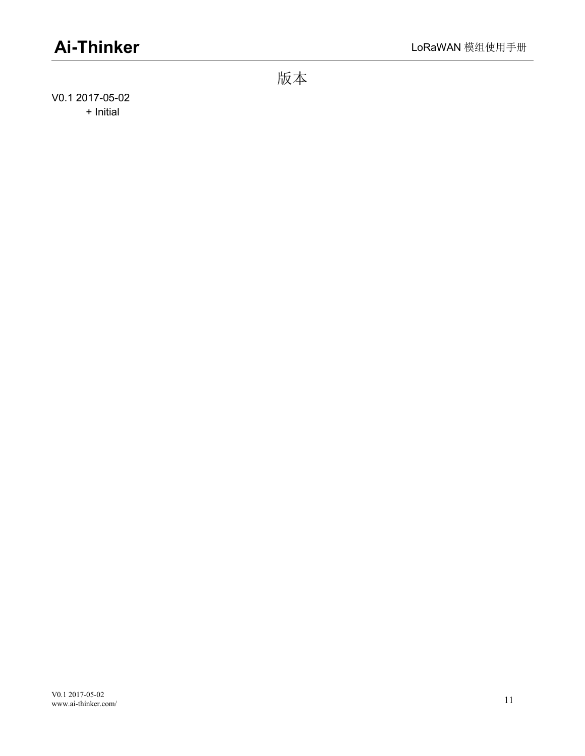<span id="page-13-0"></span>版本

V0.1 2017-05-02 + Initial